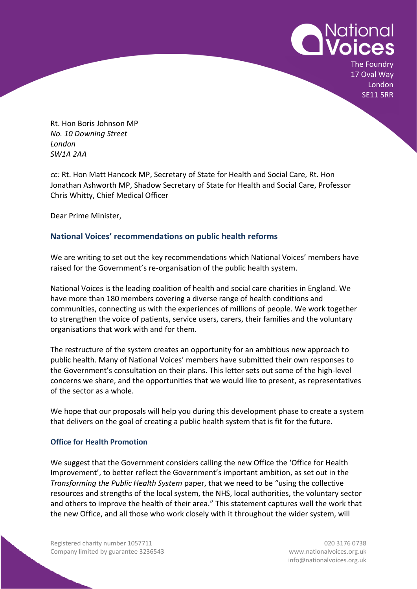

The Foundry 17 Oval Way London SE11 5RR

Rt. Hon Boris Johnson MP *No. 10 Downing Street London SW1A 2AA*

*cc:* Rt. Hon Matt Hancock MP, Secretary of State for Health and Social Care, Rt. Hon Jonathan Ashworth MP, Shadow Secretary of State for Health and Social Care, Professor Chris Whitty, Chief Medical Officer

Dear Prime Minister,

# **National Voices' recommendations on public health reforms**

We are writing to set out the key recommendations which National Voices' members have raised for the Government's re-organisation of the public health system.

National Voices is the leading coalition of health and social care charities in England. We have more than 180 members covering a diverse range of health conditions and communities, connecting us with the experiences of millions of people. We work together to strengthen the voice of patients, service users, carers, their families and the voluntary organisations that work with and for them.

The restructure of the system creates an opportunity for an ambitious new approach to public health. Many of National Voices' members have submitted their own responses to the Government's consultation on their plans. This letter sets out some of the high-level concerns we share, and the opportunities that we would like to present, as representatives of the sector as a whole.

We hope that our proposals will help you during this development phase to create a system that delivers on the goal of creating a public health system that is fit for the future.

## **Office for Health Promotion**

We suggest that the Government considers calling the new Office the 'Office for Health Improvement', to better reflect the Government's important ambition, as set out in the *Transforming the Public Health System* paper, that we need to be "using the collective resources and strengths of the local system, the NHS, local authorities, the voluntary sector and others to improve the health of their area." This statement captures well the work that the new Office, and all those who work closely with it throughout the wider system, will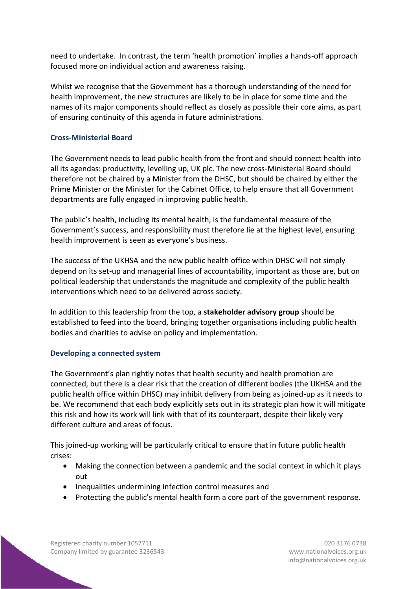need to undertake. In contrast, the term 'health promotion' implies a hands-off approach focused more on individual action and awareness raising.

Whilst we recognise that the Government has a thorough understanding of the need for health improvement, the new structures are likely to be in place for some time and the names of its major components should reflect as closely as possible their core aims, as part of ensuring continuity of this agenda in future administrations.

### **Cross-Ministerial Board**

The Government needs to lead public health from the front and should connect health into all its agendas: productivity, levelling up, UK plc. The new cross-Ministerial Board should therefore not be chaired by a Minister from the DHSC, but should be chaired by either the Prime Minister or the Minister for the Cabinet Office, to help ensure that all Government departments are fully engaged in improving public health.

The public's health, including its mental health, is the fundamental measure of the Government's success, and responsibility must therefore lie at the highest level, ensuring health improvement is seen as everyone's business.

The success of the UKHSA and the new public health office within DHSC will not simply depend on its set-up and managerial lines of accountability, important as those are, but on political leadership that understands the magnitude and complexity of the public health interventions which need to be delivered across society.

In addition to this leadership from the top, a **stakeholder advisory group** should be established to feed into the board, bringing together organisations including public health bodies and charities to advise on policy and implementation.

### **Developing a connected system**

The Government's plan rightly notes that health security and health promotion are connected, but there is a clear risk that the creation of different bodies (the UKHSA and the public health office within DHSC) may inhibit delivery from being as joined-up as it needs to be. We recommend that each body explicitly sets out in its strategic plan how it will mitigate this risk and how its work will link with that of its counterpart, despite their likely very different culture and areas of focus.

This joined-up working will be particularly critical to ensure that in future public health crises:

- Making the connection between a pandemic and the social context in which it plays out
- Inequalities undermining infection control measures and
- Protecting the public's mental health form a core part of the government response.